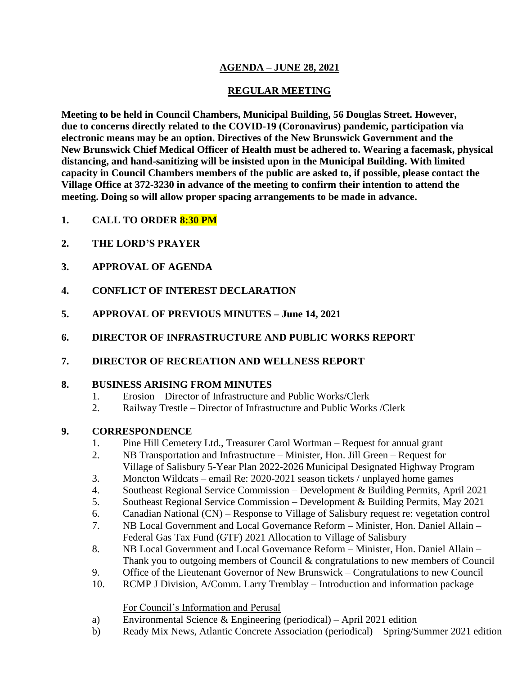## **AGENDA – JUNE 28, 2021**

## **REGULAR MEETING**

**Meeting to be held in Council Chambers, Municipal Building, 56 Douglas Street. However, due to concerns directly related to the COVID-19 (Coronavirus) pandemic, participation via electronic means may be an option. Directives of the New Brunswick Government and the New Brunswick Chief Medical Officer of Health must be adhered to. Wearing a facemask, physical distancing, and hand-sanitizing will be insisted upon in the Municipal Building. With limited capacity in Council Chambers members of the public are asked to, if possible, please contact the Village Office at 372-3230 in advance of the meeting to confirm their intention to attend the meeting. Doing so will allow proper spacing arrangements to be made in advance.**

- **1. CALL TO ORDER 8:30 PM**
- **2. THE LORD'S PRAYER**
- **3. APPROVAL OF AGENDA**
- **4. CONFLICT OF INTEREST DECLARATION**
- **5. APPROVAL OF PREVIOUS MINUTES – June 14, 2021**
- **6. DIRECTOR OF INFRASTRUCTURE AND PUBLIC WORKS REPORT**
- **7. DIRECTOR OF RECREATION AND WELLNESS REPORT**

### **8. BUSINESS ARISING FROM MINUTES**

- 1. Erosion Director of Infrastructure and Public Works/Clerk
- 2. Railway Trestle Director of Infrastructure and Public Works /Clerk

### **9. CORRESPONDENCE**

- 1. Pine Hill Cemetery Ltd., Treasurer Carol Wortman Request for annual grant
- 2. NB Transportation and Infrastructure Minister, Hon. Jill Green Request for Village of Salisbury 5-Year Plan 2022-2026 Municipal Designated Highway Program
- 3. Moncton Wildcats email Re: 2020-2021 season tickets / unplayed home games
- 4. Southeast Regional Service Commission Development & Building Permits, April 2021
- 5. Southeast Regional Service Commission Development & Building Permits, May 2021
- 6. Canadian National (CN) Response to Village of Salisbury request re: vegetation control
- 7. NB Local Government and Local Governance Reform Minister, Hon. Daniel Allain Federal Gas Tax Fund (GTF) 2021 Allocation to Village of Salisbury
- 8. NB Local Government and Local Governance Reform Minister, Hon. Daniel Allain Thank you to outgoing members of Council & congratulations to new members of Council
- 9. Office of the Lieutenant Governor of New Brunswick Congratulations to new Council
- 10. RCMP J Division, A/Comm. Larry Tremblay Introduction and information package

#### For Council's Information and Perusal

- a) Environmental Science & Engineering (periodical) April 2021 edition
- b) Ready Mix News, Atlantic Concrete Association (periodical) Spring/Summer 2021 edition